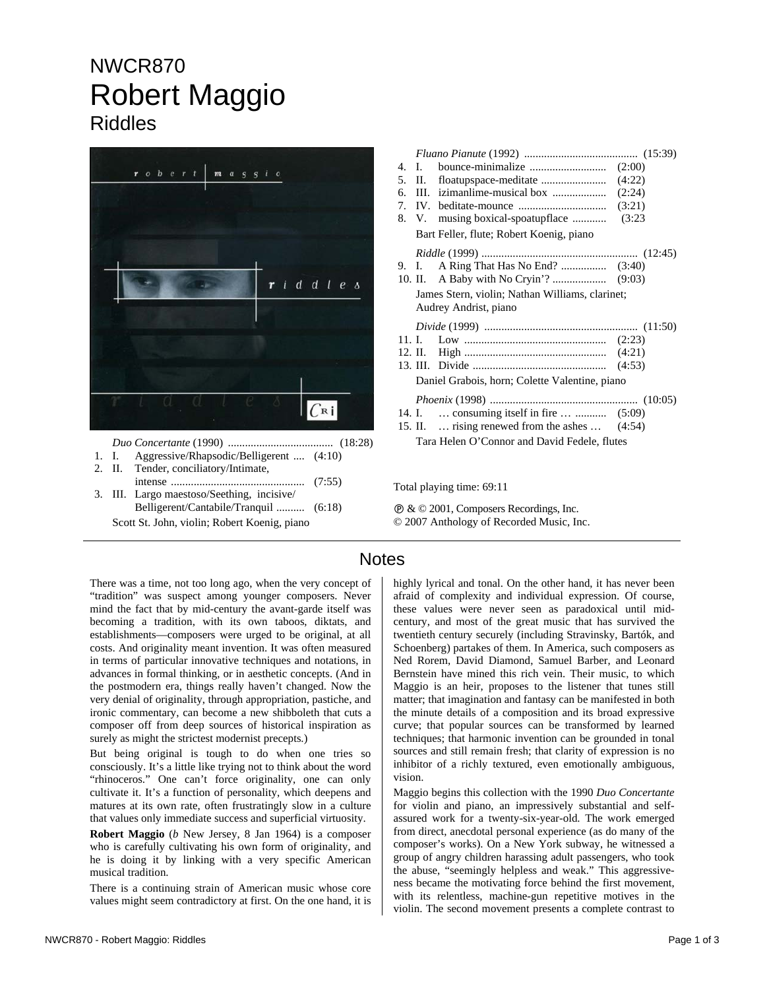## NWCR870 Robert Maggio Riddles



| 1. I.                                        | Aggressive/Rhapsodic/Belligerent  (4:10)   |  |  |  |
|----------------------------------------------|--------------------------------------------|--|--|--|
|                                              | 2. II. Tender, conciliatory/Intimate,      |  |  |  |
|                                              |                                            |  |  |  |
|                                              | 3. III. Largo maestoso/Seething, incisive/ |  |  |  |
|                                              | Belligerent/Cantabile/Tranquil  (6:18)     |  |  |  |
| Scott St. John, violin; Robert Koenig, piano |                                            |  |  |  |

| 4 <sup>1</sup> |           |                                                                |        |
|----------------|-----------|----------------------------------------------------------------|--------|
| 5.             |           |                                                                | (4:22) |
| б.             |           |                                                                |        |
| 7.             |           |                                                                |        |
|                |           | 8. V. musing boxical-spoatupflace  (3:23                       |        |
|                |           | Bart Feller, flute; Robert Koenig, piano                       |        |
|                |           |                                                                |        |
|                |           |                                                                |        |
|                |           |                                                                |        |
|                |           | James Stern, violin; Nathan Williams, clarinet;                |        |
|                |           | Audrey Andrist, piano                                          |        |
|                |           |                                                                |        |
|                |           |                                                                |        |
|                | 11. L $-$ |                                                                |        |
|                |           |                                                                |        |
|                |           |                                                                |        |
|                |           | Daniel Grabois, horn; Colette Valentine, piano                 |        |
|                |           |                                                                |        |
|                |           | 14. I.  consuming itself in fire   (5:09)                      |        |
|                |           | 15. II. $\ldots$ rising renewed from the ashes $\ldots$ (4:54) |        |
|                |           | Tara Helen O'Connor and David Fedele, flutes                   |        |

Total playing time: 69:11

Ê & © 2001, Composers Recordings, Inc. © 2007 Anthology of Recorded Music, Inc.

## **Notes**

There was a time, not too long ago, when the very concept of "tradition" was suspect among younger composers. Never mind the fact that by mid-century the avant-garde itself was becoming a tradition, with its own taboos, diktats, and establishments—composers were urged to be original, at all costs. And originality meant invention. It was often measured in terms of particular innovative techniques and notations, in advances in formal thinking, or in aesthetic concepts. (And in the postmodern era, things really haven't changed. Now the very denial of originality, through appropriation, pastiche, and ironic commentary, can become a new shibboleth that cuts a composer off from deep sources of historical inspiration as surely as might the strictest modernist precepts.)

But being original is tough to do when one tries so consciously. It's a little like trying not to think about the word "rhinoceros." One can't force originality, one can only cultivate it. It's a function of personality, which deepens and matures at its own rate, often frustratingly slow in a culture that values only immediate success and superficial virtuosity.

**Robert Maggio** (*b* New Jersey, 8 Jan 1964) is a composer who is carefully cultivating his own form of originality, and he is doing it by linking with a very specific American musical tradition.

There is a continuing strain of American music whose core values might seem contradictory at first. On the one hand, it is

highly lyrical and tonal. On the other hand, it has never been afraid of complexity and individual expression. Of course, these values were never seen as paradoxical until midcentury, and most of the great music that has survived the twentieth century securely (including Stravinsky, Bartók, and Schoenberg) partakes of them. In America, such composers as Ned Rorem, David Diamond, Samuel Barber, and Leonard Bernstein have mined this rich vein. Their music, to which Maggio is an heir, proposes to the listener that tunes still matter; that imagination and fantasy can be manifested in both the minute details of a composition and its broad expressive curve; that popular sources can be transformed by learned techniques; that harmonic invention can be grounded in tonal sources and still remain fresh; that clarity of expression is no inhibitor of a richly textured, even emotionally ambiguous, vision.

Maggio begins this collection with the 1990 *Duo Concertante* for violin and piano, an impressively substantial and selfassured work for a twenty-six-year-old. The work emerged from direct, anecdotal personal experience (as do many of the composer's works). On a New York subway, he witnessed a group of angry children harassing adult passengers, who took the abuse, "seemingly helpless and weak." This aggressiveness became the motivating force behind the first movement, with its relentless, machine-gun repetitive motives in the violin. The second movement presents a complete contrast to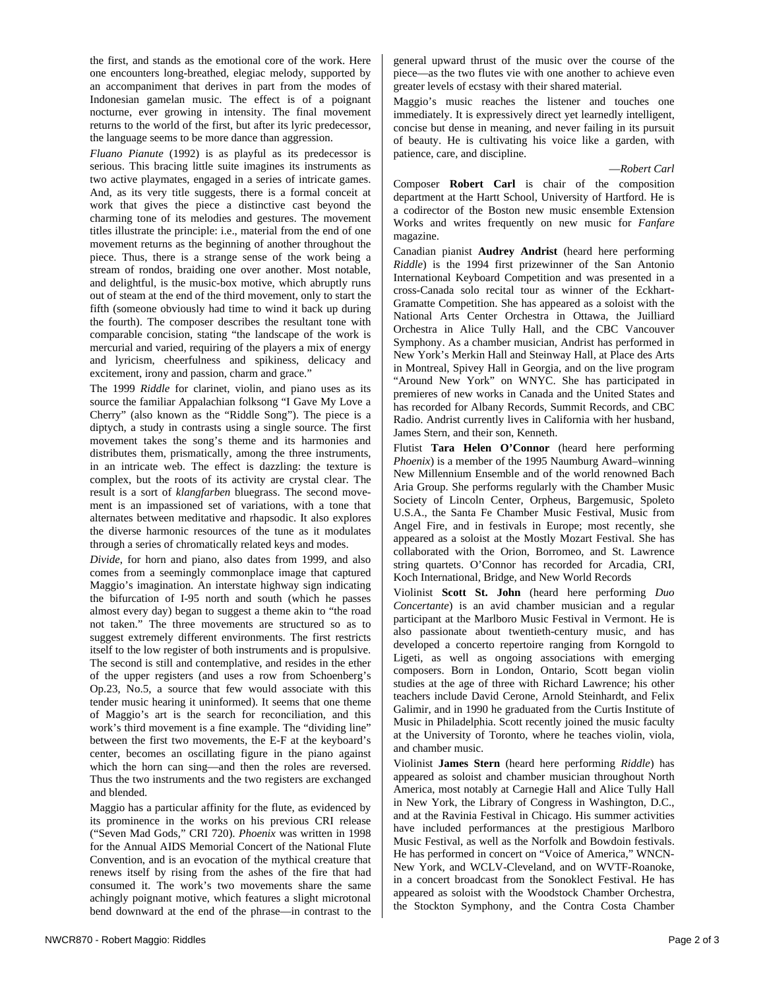the first, and stands as the emotional core of the work. Here one encounters long-breathed, elegiac melody, supported by an accompaniment that derives in part from the modes of Indonesian gamelan music. The effect is of a poignant nocturne, ever growing in intensity. The final movement returns to the world of the first, but after its lyric predecessor, the language seems to be more dance than aggression.

*Fluano Pianute* (1992) is as playful as its predecessor is serious. This bracing little suite imagines its instruments as two active playmates, engaged in a series of intricate games. And, as its very title suggests, there is a formal conceit at work that gives the piece a distinctive cast beyond the charming tone of its melodies and gestures. The movement titles illustrate the principle: i.e., material from the end of one movement returns as the beginning of another throughout the piece. Thus, there is a strange sense of the work being a stream of rondos, braiding one over another. Most notable, and delightful, is the music-box motive, which abruptly runs out of steam at the end of the third movement, only to start the fifth (someone obviously had time to wind it back up during the fourth). The composer describes the resultant tone with comparable concision, stating "the landscape of the work is mercurial and varied, requiring of the players a mix of energy and lyricism, cheerfulness and spikiness, delicacy and excitement, irony and passion, charm and grace."

The 1999 *Riddle* for clarinet, violin, and piano uses as its source the familiar Appalachian folksong "I Gave My Love a Cherry" (also known as the "Riddle Song"). The piece is a diptych, a study in contrasts using a single source. The first movement takes the song's theme and its harmonies and distributes them, prismatically, among the three instruments, in an intricate web. The effect is dazzling: the texture is complex, but the roots of its activity are crystal clear. The result is a sort of *klangfarben* bluegrass. The second movement is an impassioned set of variations, with a tone that alternates between meditative and rhapsodic. It also explores the diverse harmonic resources of the tune as it modulates through a series of chromatically related keys and modes.

*Divide*, for horn and piano, also dates from 1999, and also comes from a seemingly commonplace image that captured Maggio's imagination. An interstate highway sign indicating the bifurcation of I-95 north and south (which he passes almost every day) began to suggest a theme akin to "the road not taken." The three movements are structured so as to suggest extremely different environments. The first restricts itself to the low register of both instruments and is propulsive. The second is still and contemplative, and resides in the ether of the upper registers (and uses a row from Schoenberg's Op.23, No.5, a source that few would associate with this tender music hearing it uninformed). It seems that one theme of Maggio's art is the search for reconciliation, and this work's third movement is a fine example. The "dividing line" between the first two movements, the E-F at the keyboard's center, becomes an oscillating figure in the piano against which the horn can sing—and then the roles are reversed. Thus the two instruments and the two registers are exchanged and blended.

Maggio has a particular affinity for the flute, as evidenced by its prominence in the works on his previous CRI release ("Seven Mad Gods," CRI 720). *Phoenix* was written in 1998 for the Annual AIDS Memorial Concert of the National Flute Convention, and is an evocation of the mythical creature that renews itself by rising from the ashes of the fire that had consumed it. The work's two movements share the same achingly poignant motive, which features a slight microtonal bend downward at the end of the phrase—in contrast to the general upward thrust of the music over the course of the piece—as the two flutes vie with one another to achieve even greater levels of ecstasy with their shared material.

Maggio's music reaches the listener and touches one immediately. It is expressively direct yet learnedly intelligent, concise but dense in meaning, and never failing in its pursuit of beauty. He is cultivating his voice like a garden, with patience, care, and discipline.

—*Robert Carl* 

Composer **Robert Carl** is chair of the composition department at the Hartt School, University of Hartford. He is a codirector of the Boston new music ensemble Extension Works and writes frequently on new music for *Fanfare* magazine.

Canadian pianist **Audrey Andrist** (heard here performing *Riddle*) is the 1994 first prizewinner of the San Antonio International Keyboard Competition and was presented in a cross-Canada solo recital tour as winner of the Eckhart-Gramatte Competition. She has appeared as a soloist with the National Arts Center Orchestra in Ottawa, the Juilliard Orchestra in Alice Tully Hall, and the CBC Vancouver Symphony. As a chamber musician, Andrist has performed in New York's Merkin Hall and Steinway Hall, at Place des Arts in Montreal, Spivey Hall in Georgia, and on the live program "Around New York" on WNYC. She has participated in premieres of new works in Canada and the United States and has recorded for Albany Records, Summit Records, and CBC Radio. Andrist currently lives in California with her husband, James Stern, and their son, Kenneth.

Flutist **Tara Helen O'Connor** (heard here performing *Phoenix*) is a member of the 1995 Naumburg Award–winning New Millennium Ensemble and of the world renowned Bach Aria Group. She performs regularly with the Chamber Music Society of Lincoln Center, Orpheus, Bargemusic, Spoleto U.S.A., the Santa Fe Chamber Music Festival, Music from Angel Fire, and in festivals in Europe; most recently, she appeared as a soloist at the Mostly Mozart Festival. She has collaborated with the Orion, Borromeo, and St. Lawrence string quartets. O'Connor has recorded for Arcadia, CRI, Koch International, Bridge, and New World Records

Violinist **Scott St. John** (heard here performing *Duo Concertante*) is an avid chamber musician and a regular participant at the Marlboro Music Festival in Vermont. He is also passionate about twentieth-century music, and has developed a concerto repertoire ranging from Korngold to Ligeti, as well as ongoing associations with emerging composers. Born in London, Ontario, Scott began violin studies at the age of three with Richard Lawrence; his other teachers include David Cerone, Arnold Steinhardt, and Felix Galimir, and in 1990 he graduated from the Curtis Institute of Music in Philadelphia. Scott recently joined the music faculty at the University of Toronto, where he teaches violin, viola, and chamber music.

Violinist **James Stern** (heard here performing *Riddle*) has appeared as soloist and chamber musician throughout North America, most notably at Carnegie Hall and Alice Tully Hall in New York, the Library of Congress in Washington, D.C., and at the Ravinia Festival in Chicago. His summer activities have included performances at the prestigious Marlboro Music Festival, as well as the Norfolk and Bowdoin festivals. He has performed in concert on "Voice of America," WNCN-New York, and WCLV-Cleveland, and on WVTF-Roanoke, in a concert broadcast from the Sonoklect Festival. He has appeared as soloist with the Woodstock Chamber Orchestra, the Stockton Symphony, and the Contra Costa Chamber